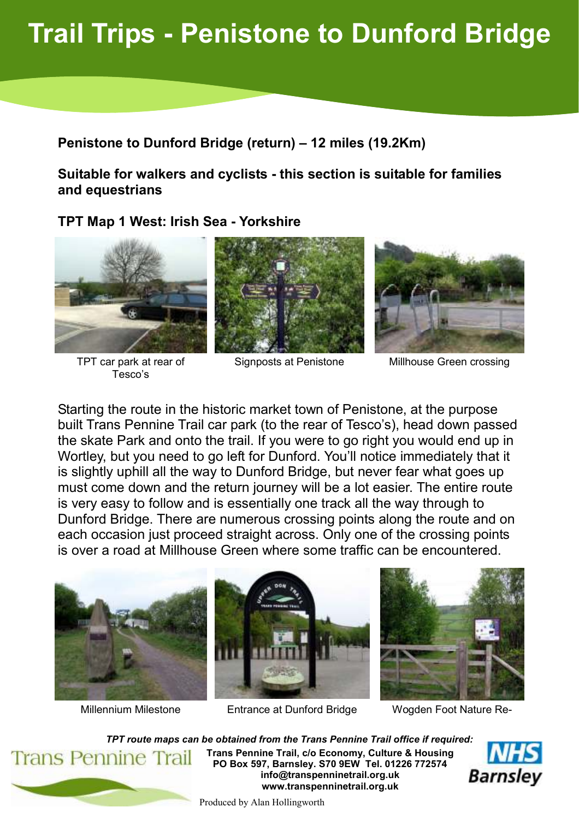## Trail Trips - Penistone to Dunford Bridge

Penistone to Dunford Bridge (return) – 12 miles (19.2Km)

Suitable for walkers and cyclists - this section is suitable for families and equestrians

## TPT Map 1 West: Irish Sea - Yorkshire



TPT car park at rear of Tesco's







Signposts at Penistone Millhouse Green crossing

Starting the route in the historic market town of Penistone, at the purpose built Trans Pennine Trail car park (to the rear of Tesco's), head down passed the skate Park and onto the trail. If you were to go right you would end up in Wortley, but you need to go left for Dunford. You'll notice immediately that it is slightly uphill all the way to Dunford Bridge, but never fear what goes up must come down and the return journey will be a lot easier. The entire route is very easy to follow and is essentially one track all the way through to Dunford Bridge. There are numerous crossing points along the route and on each occasion just proceed straight across. Only one of the crossing points is over a road at Millhouse Green where some traffic can be encountered.









TPT route maps can be obtained from the Trans Pennine Trail office if required: Trans Pennine Trail, c/o Economy, Culture & Housing **Trans Pennine Trail** PO Box 597, Barnsley. S70 9EW Tel. 01226 772574 info@transpenninetrail.org.uk www.transpenninetrail.org.uk



Produced by Alan Hollingworth